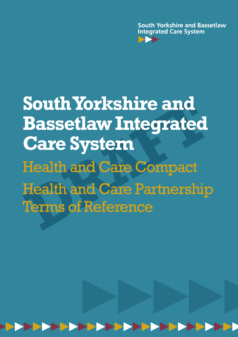**South Yorkshire and Bassetlaw Integrated Care System** 

# **South Yorkshire and<br>Bassetlaw Integrated<br>Care System<br>Health and Care Compact<br>Health and Care Partnership<br>Terms of Reference South Yorkshire and Bassetlaw Integrated Care System** Health and Care Compact Health and Care Partnership Terms of Reference

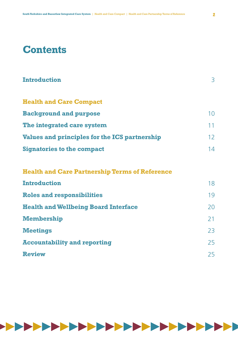# **Contents**

| <b>Introduction</b>                                   | 3               |
|-------------------------------------------------------|-----------------|
| <b>Health and Care Compact</b>                        |                 |
| <b>Background and purpose</b>                         | 10              |
| The integrated care system                            | 11              |
| Values and principles for the ICS partnership         | 12 <sup>°</sup> |
| <b>Signatories to the compact</b>                     | 14              |
| <b>Health and Care Partnership Terms of Reference</b> |                 |
| <b>Introduction</b>                                   | 18              |
| <b>Roles and responsibilities</b>                     | 19              |
| <b>Health and Wellbeing Board Interface</b>           | 20              |
| <b>Membership</b>                                     | 21              |
| <b>Meetings</b>                                       | 23              |
| <b>Accountability and reporting</b>                   | 25              |
| <b>Review</b>                                         | 25              |



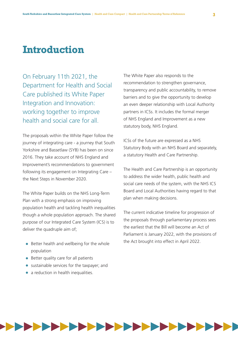## **Introduction**

On February 11th 2021, the Department for Health and Social Care published its White Paper Integration and Innovation: working together to improve health and social care for all.

The proposals within the White Paper follow the journey of integrating care - a journey that South Yorkshire and Bassetlaw (SYB) has been on since 2016. They take account of NHS England and Improvement's recommendations to government following its engagement on Integrating Care – the Next Steps in November 2020.

The White Paper builds on the NHS Long-Term Plan with a strong emphasis on improving population health and tackling health inequalities though a whole population approach. The shared purpose of our Integrated Care System (ICS) is to deliver the quadruple aim of;

- Better health and wellbeing for the whole population
- Better quality care for all patients
- sustainable services for the taxpayer; and
- a reduction in health inequalities.

The White Paper also responds to the recommendation to strengthen governance, transparency and public accountability, to remove barriers and to give the opportunity to develop an even deeper relationship with Local Authority partners in ICSs. It includes the formal merger of NHS England and Improvement as a new statutory body, NHS England.

ICSs of the future are expressed as a NHS Statutory Body with an NHS Board and separately, a statutory Health and Care Partnership.

The Health and Care Partnership is an opportunity to address the wider health, public health and social care needs of the system, with the NHS ICS Board and Local Authorities having regard to that plan when making decisions.

The current indicative timeline for progression of the proposals through parliamentary process sees the earliest that the Bill will become an Act of Parliament is January 2022, with the provisions of the Act brought into effect in April 2022.

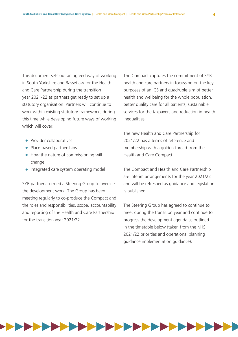This document sets out an agreed way of working in South Yorkshire and Bassetlaw for the Health and Care Partnership during the transition year 2021-22 as partners get ready to set up a statutory organisation. Partners will continue to work within existing statutory frameworks during this time while developing future ways of working which will cover:

- Provider collaboratives
- Place-based partnerships
- How the nature of commissioning will change
- Integrated care system operating model

SYB partners formed a Steering Group to oversee the development work. The Group has been meeting regularly to co-produce the Compact and the roles and responsibilities, scope, accountability and reporting of the Health and Care Partnership for the transition year 2021/22.

The Compact captures the commitment of SYB health and care partners in focussing on the key purposes of an ICS and quadruple aim of better health and wellbeing for the whole population, better quality care for all patients, sustainable services for the taxpayers and reduction in health inequalities.

The new Health and Care Partnership for 2021/22 has a terms of reference and membership with a golden thread from the Health and Care Compact.

The Compact and Health and Care Partnership are interim arrangements for the year 2021/22 and will be refreshed as guidance and legislation is published.

The Steering Group has agreed to continue to meet during the transition year and continue to progress the development agenda as outlined in the timetable below (taken from the NHS 2021/22 priorities and operational planning guidance implementation guidance).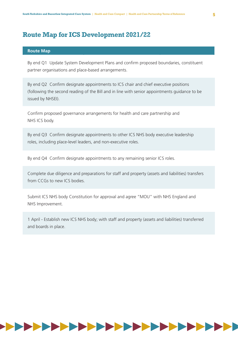### **Route Map for ICS Development 2021/22**

#### **Route Map**

By end Q1 Update System Development Plans and confirm proposed boundaries, constituent partner organisations and place-based arrangements.

By end Q2 Confirm designate appointments to ICS chair and chief executive positions (following the second reading of the Bill and in line with senior appointments guidance to be issued by NHSEI).

Confirm proposed governance arrangements for health and care partnership and NHS ICS body.

By end Q3 Confirm designate appointments to other ICS NHS body executive leadership roles, including place-level leaders, and non-executive roles.

By end Q4 Confirm designate appointments to any remaining senior ICS roles.

Complete due diligence and preparations for staff and property (assets and liabilities) transfers from CCGs to new ICS bodies.

Submit ICS NHS body Constitution for approval and agree "MOU" with NHS England and NHS Improvement.

1 April - Establish new ICS NHS body; with staff and property (assets and liabilities) transferred and boards in place.

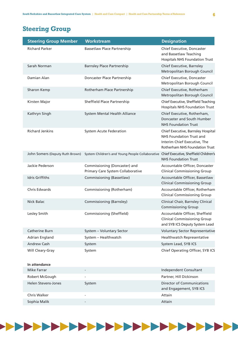### **Steering Group**

| <b>Steering Group Member</b>    | <b>Workstream</b>                                                  | <b>Designation</b>                                                                                                                      |
|---------------------------------|--------------------------------------------------------------------|-----------------------------------------------------------------------------------------------------------------------------------------|
| <b>Richard Parker</b>           | <b>Bassetlaw Place Partnership</b>                                 | Chief Executive, Doncaster<br>and Bassetlaw Teaching<br><b>Hospitals NHS Foundation Trust</b>                                           |
| Sarah Norman                    | <b>Barnsley Place Partnership</b>                                  | Chief Executive, Barnsley<br>Metropolitan Borough Council                                                                               |
| Damian Alan                     | Doncaster Place Partnership                                        | Chief Executive, Doncaster<br>Metropolitan Borough Council                                                                              |
| Sharon Kemp                     | Rotherham Place Partnership                                        | Chief Executive, Rotherham<br>Metropolitan Borough Council                                                                              |
| Kirsten Major                   | Sheffield Place Partnership                                        | Chief Executive, Sheffield Teaching<br><b>Hospitals NHS Foundation Trust</b>                                                            |
| Kathryn Singh                   | System Mental Health Alliance                                      | Chief Executive, Rotherham,<br>Doncaster and South Humber<br><b>NHS Foundation Trust</b>                                                |
| <b>Richard Jenkins</b>          | <b>System Acute Federation</b>                                     | Chief Executive, Barnsley Hospital<br>NHS Foundation Trust and<br>Interim Chief Executive, The<br><b>Rotherham NHS Foundation Trust</b> |
| John Somers (Deputy Ruth Brown) | System Children's and Young People Collaborative                   | Chief Executive, Sheffield Children's<br><b>NHS Foundation Trust</b>                                                                    |
| Jackie Pederson                 | Commissioning (Doncaster) and<br>Primary Care System Collaborative | Accountable Officer, Doncaster<br><b>Clinical Commissioning Group</b>                                                                   |
| <b>Idris Griffiths</b>          | Commissioning (Bassetlaw)                                          | Accountable Officer, Bassetlaw<br><b>Clinical Commissioning Group</b>                                                                   |
| <b>Chris Edwards</b>            | Commissioning (Rotherham)                                          | Accountable Officer, Rotherham<br><b>Clinical Commissioning Group</b>                                                                   |
| Nick Balac                      | Commissioning (Barnsley)                                           | Clinical Chair, Barnsley Clinical<br><b>Commissioning Group</b>                                                                         |
| Lesley Smith                    | Commissioning (Sheffield)                                          | Accountable Officer, Sheffield<br><b>Clinical Commissioning Group</b><br>and SYB ICS Deputy System Lead                                 |
| <b>Catherine Burn</b>           | System - Voluntary Sector                                          | <b>Voluntary Sector Representative</b>                                                                                                  |
| <b>Adrian England</b>           | System - Healthwatch                                               | Healthwatch Representative                                                                                                              |
| Andrew Cash                     | System                                                             | System Lead, SYB ICS                                                                                                                    |
| Will Cleary-Gray                | System                                                             | Chief Operating Officer, SYB ICS                                                                                                        |
| In attendance                   |                                                                    |                                                                                                                                         |
| <b>Mike Farrar</b>              |                                                                    | Independent Consultant                                                                                                                  |
| Robert McGough                  |                                                                    | Partner, Hill Dickinson                                                                                                                 |
| <b>Helen Stevens-Jones</b>      | System                                                             | <b>Director of Communications</b><br>and Engagement, SYB ICS                                                                            |
| <b>Chris Walker</b>             |                                                                    | Attain                                                                                                                                  |
| Sophia Malik                    |                                                                    | Attain                                                                                                                                  |

-------------------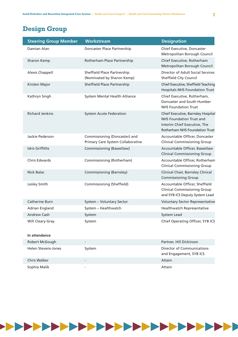### **Design Group**

| <b>Steering Group Member</b> | <b>Workstream</b>                                                  | <b>Designation</b>                                                                                                                      |
|------------------------------|--------------------------------------------------------------------|-----------------------------------------------------------------------------------------------------------------------------------------|
| Damian Alan                  | Doncaster Place Partnership                                        | Chief Executive, Doncaster<br>Metropolitan Borough Council                                                                              |
| Sharon Kemp                  | Rotherham Place Partnership                                        | Chief Executive, Rotherham<br>Metropolitan Borough Council                                                                              |
| <b>Alexis Chappell</b>       | Sheffield Place Partnership<br>(Nominated by Sharon Kemp)          | Director of Adult Social Services<br>Sheffield City Council                                                                             |
| Kirsten Major                | Sheffield Place Partnership                                        | Chief Executive, Sheffield Teaching<br><b>Hospitals NHS Foundation Trust</b>                                                            |
| Kathryn Singh                | System Mental Health Alliance                                      | Chief Executive, Rotherham,<br>Doncaster and South Humber<br><b>NHS Foundation Trust</b>                                                |
| <b>Richard Jenkins</b>       | <b>System Acute Federation</b>                                     | Chief Executive, Barnsley Hospital<br><b>NHS Foundation Trust and</b><br>Interim Chief Executive, The<br>Rotherham NHS Foundation Trust |
| Jackie Pederson              | Commissioning (Doncaster) and<br>Primary Care System Collaborative | Accountable Officer, Doncaster<br><b>Clinical Commissioning Group</b>                                                                   |
| <b>Idris Griffiths</b>       | Commissioning (Bassetlaw)                                          | Accountable Officer, Bassetlaw<br><b>Clinical Commissioning Group</b>                                                                   |
| <b>Chris Edwards</b>         | Commissioning (Rotherham)                                          | Accountable Officer, Rotherham<br><b>Clinical Commissioning Group</b>                                                                   |
| <b>Nick Balac</b>            | Commissioning (Barnsley)                                           | Clinical Chair, Barnsley Clinical<br><b>Commissioning Group</b>                                                                         |
| Lesley Smith                 | Commissioning (Sheffield)                                          | Accountable Officer, Sheffield<br><b>Clinical Commissioning Group</b><br>and SYB ICS Deputy System Lead                                 |
| <b>Catherine Burn</b>        | System - Voluntary Sector                                          | <b>Voluntary Sector Representative</b>                                                                                                  |
| Adrian England               | System - Healthwatch                                               | Healthwatch Representative                                                                                                              |
| <b>Andrew Cash</b>           | System                                                             | System Lead                                                                                                                             |
| Will Cleary-Gray             | System                                                             | Chief Operating Officer, SYB ICS                                                                                                        |
| In attendance                |                                                                    |                                                                                                                                         |
| Robert McGough               |                                                                    | Partner, Hill Dickinson                                                                                                                 |
| Helen Stevens-Jones          | System                                                             | <b>Director of Communications</b>                                                                                                       |

and Engagement, SYB ICS Chris Walker **- Attain** Sophia Malik **Attain** 

,,,,,,,,,,,,,,,,,,,,,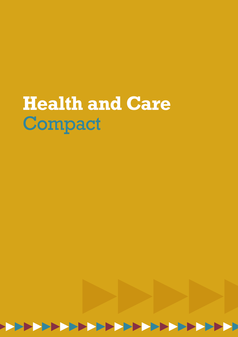# **Health and Care** Compact

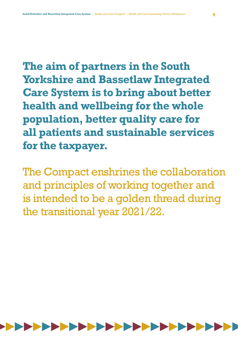**The aim of partners in the South Yorkshire and Bassetlaw Integrated Care System is to bring about better health and wellbeing for the whole population, better quality care for all patients and sustainable services for the taxpayer.**

The Compact enshrines the collaboration and principles of working together and is intended to be a golden thread during the transitional year 2021/22.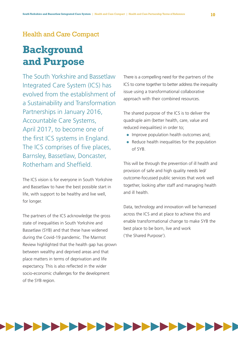#### Health and Care Compact

# **Background and Purpose**

The South Yorkshire and Bassetlaw Integrated Care System (ICS) has evolved from the establishment of a Sustainability and Transformation Partnerships in January 2016, Accountable Care Systems, April 2017, to become one of the first ICS systems in England. The ICS comprises of five places, Barnsley, Bassetlaw, Doncaster, Rotherham and Sheffield.

The ICS vision is for everyone in South Yorkshire and Bassetlaw to have the best possible start in life, with support to be healthy and live well, for longer.

The partners of the ICS acknowledge the gross state of inequalities in South Yorkshire and Bassetlaw (SYB) and that these have widened during the Covid-19 pandemic. The Marmot Review highlighted that the health gap has grown between wealthy and deprived areas and that place matters in terms of deprivation and life expectancy. This is also reflected in the wider socio-economic challenges for the development of the SYB region.

There is a compelling need for the partners of the ICS to come together to better address the inequality issue using a transformational collaborative approach with their combined resources.

The shared purpose of the ICS is to deliver the quadruple aim (better health, care, value and reduced inequalities) in order to;

- Improve population health outcomes and;
- Reduce health inequalities for the population of SYB.

This will be through the prevention of ill health and provision of safe and high quality needs led/ outcome-focussed public services that work well together, looking after staff and managing health and ill health.

Data, technology and innovation will be harnessed across the ICS and at place to achieve this and enable transformational change to make SYB the best place to be born, live and work ('the Shared Purpose').

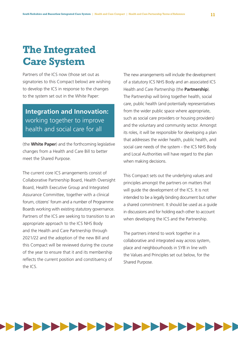# **The Integrated Care System**

Partners of the ICS now (those set out as signatories to this Compact below) are wishing to develop the ICS in response to the changes to the system set out in the White Paper:

### **Integration and Innovation:** working together to improve health and social care for all

(the **White Paper**) and the forthcoming legislative changes from a Health and Care Bill to better meet the Shared Purpose.

The current core ICS arrangements consist of Collaborative Partnership Board, Health Oversight Board, Health Executive Group and Integrated Assurance Committee, together with a clinical forum, citizens' forum and a number of Programme Boards working with existing statutory governance. Partners of the ICS are seeking to transition to an appropriate approach to the ICS NHS Body and the Health and Care Partnership through 2021/22 and the adoption of the new Bill and this Compact will be reviewed during the course of the year to ensure that it and its membership reflects the current position and constituency of the ICS.

The new arrangements will include the development of a statutory ICS NHS Body and an associated ICS Health and Care Partnership (the **Partnership**). The Partnership will bring together health, social care, public health (and potentially representatives from the wider public space where appropriate, such as social care providers or housing providers) and the voluntary and community sector. Amongst its roles, it will be responsible for developing a plan that addresses the wider health, public health, and social care needs of the system - the ICS NHS Body and Local Authorities will have regard to the plan when making decisions.

This Compact sets out the underlying values and principles amongst the partners on matters that will guide the development of the ICS. It is not intended to be a legally binding document but rather a shared commitment. It should be used as a guide in discussions and for holding each other to account when developing the ICS and the Partnership.

The partners intend to work together in a collaborative and integrated way across system, place and neighbourhoods in SYB in line with the Values and Principles set out below, for the Shared Purpose.

# ,,,,,,,,,,,,,,,,,,,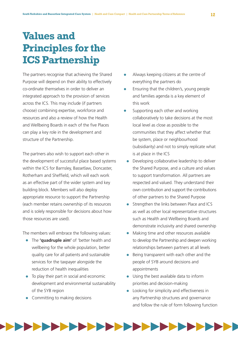# **Values and Principles for the ICS Partnership**

The partners recognise that achieving the Shared Purpose will depend on their ability to effectively co-ordinate themselves in order to deliver an integrated approach to the provision of services across the ICS. This may include (if partners choose) combining expertise, workforce and resources and also a review of how the Health and Wellbeing Boards in each of the five Places can play a key role in the development and structure of the Partnership.

The partners also wish to support each other in the development of successful place based systems within the ICS for Barnsley, Bassetlaw, Doncaster, Rotherham and Sheffield, which will each work as an effective part of the wider system and key building block. Members will also deploy appropriate resource to support the Partnership (each member retains ownership of its resources and is solely responsible for decisions about how those resources are used).

The members will embrace the following values:

- The **'quadruple aim'** of 'better health and wellbeing for the whole population, better quality care for all patients and sustainable services for the taxpayer alongside the reduction of health inequalities
- To play their part in social and economic development and environmental sustainability of the SYB region
- Committing to making decisions
- Always keeping citizens at the centre of everything the partners do
- Ensuring that the children's, young people and families agenda is a key element of this work
- Supporting each other and working collaboratively to take decisions at the most local level as close as possible to the communities that they affect whether that be system, place or neighbourhood (subsidiarity) and not to simply replicate what is at place in the ICS
- Developing collaborative leadership to deliver the Shared Purpose, and a culture and values to support transformation. All partners are respected and valued. They understand their own contribution and support the contributions of other partners to the Shared Purpose
- Strengthen the links between Place and ICS as well as other local representative structures such as Health and Wellbeing Boards and demonstrate inclusivity and shared ownership
- Making time and other resources available to develop the Partnership and deepen working relationships between partners at all levels
- Being transparent with each other and the people of SYB around decisions and appointments
- Using the best available data to inform priorities and decision-making
- Looking for simplicity and effectiveness in any Partnership structures and governance and follow the rule of form following function

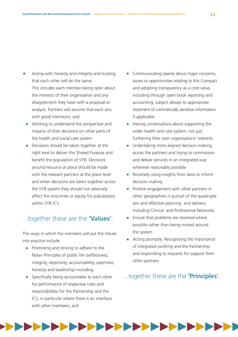- Acting with honesty and integrity and trusting that each other will do the same; This includes each member being open about the interests of their organisation and any disagreement they have with a proposal or analysis. Partners will assume that each acts with good intentions; and
- Working to understand the perspective and impacts of their decisions on other parts of the health and social care system
- Decisions should be taken together at the right level to deliver the Shared Purpose and benefit the population of SYB. Decisions around resource at place should be made with the relevant partners at the place level and when decisions are taken together across the SYB system they should not adversely affect the outcomes or equity for populations within SYB ICS

#### ...together these are the **'Values'**.

The ways in which the members will put the Values into practice include:

- Promoting and striving to adhere to the Nolan Principles of public life (selflessness, integrity, objectivity, accountability, openness, honesty and leadership) including:
- Specifically being accountable to each other for performance of respective roles and responsibilities for the Partnership and the ICS, in particular where there is an interface with other members; and
- Communicating openly about major concerns, issues or opportunities relating to this Compact and adopting transparency as a core value, including through open book reporting and accounting, subject always to appropriate treatment of commercially sensitive information if applicable
- Having conversations about supporting the wider health and care system, not just furthering their own organisations' interests
- Undertaking more aligned decision-making across the partners and trying to commission and deliver services in an integrated way wherever reasonably possible
- Routinely using insights from data to inform decision making
- Positive engagement with other partners in other geographies in pursuit of the quadruple aim and effective planning and delivery including Clinical and Professional Networks
- Ensure that problems are resolved where possible rather than being moved around the system
- Acting promptly. Recognising the importance of integrated working and the Partnership and responding to requests for support from other partners

#### ...together these are the **'Principles'**.

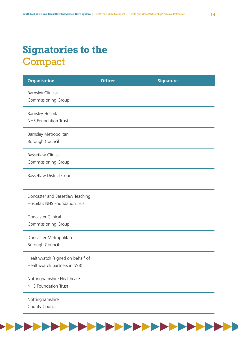# **Signatories to the Compact**

| <b>Organisation</b>                                                | <b>Officer</b> | <b>Signature</b> |
|--------------------------------------------------------------------|----------------|------------------|
| <b>Barnsley Clinical</b><br>Commissioning Group                    |                |                  |
| <b>Barnsley Hospital</b><br><b>NHS Foundation Trust</b>            |                |                  |
| Barnsley Metropolitan<br>Borough Council                           |                |                  |
| <b>Bassetlaw Clinical</b><br>Commissioning Group                   |                |                  |
| <b>Bassetlaw District Council</b>                                  |                |                  |
| Doncaster and Bassetlaw Teaching<br>Hospitals NHS Foundation Trust |                |                  |
| Doncaster Clinical<br>Commissioning Group                          |                |                  |
| Doncaster Metropolitan<br>Borough Council                          |                |                  |
| Healthwatch (signed on behalf of<br>Healthwatch partners in SYB)   |                |                  |
| Nottinghamshire Healthcare<br><b>NHS Foundation Trust</b>          |                |                  |
| Nottinghamshire<br>County Council                                  |                |                  |

 $\blacktriangleright$ 

**PERSONAL PROPERTY**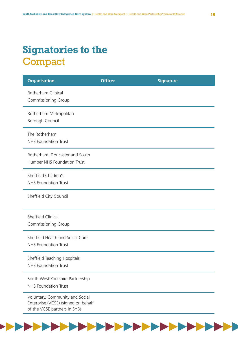# **Signatories to the Compact**

 $\blacktriangleright$   $\blacktriangleright$   $\blacktriangleright$ 

**PERSONAL** 

**START START** 

| <b>Organisation</b>                                                                                    | <b>Officer</b> | <b>Signature</b> |
|--------------------------------------------------------------------------------------------------------|----------------|------------------|
| Rotherham Clinical<br><b>Commissioning Group</b>                                                       |                |                  |
| Rotherham Metropolitan<br>Borough Council                                                              |                |                  |
| The Rotherham<br><b>NHS Foundation Trust</b>                                                           |                |                  |
| Rotherham, Doncaster and South<br>Humber NHS Foundation Trust                                          |                |                  |
| Sheffield Children's<br><b>NHS Foundation Trust</b>                                                    |                |                  |
| Sheffield City Council                                                                                 |                |                  |
| Sheffield Clinical<br><b>Commissioning Group</b>                                                       |                |                  |
| Sheffield Health and Social Care<br><b>NHS Foundation Trust</b>                                        |                |                  |
| Sheffield Teaching Hospitals<br><b>NHS Foundation Trust</b>                                            |                |                  |
| South West Yorkshire Partnership<br><b>NHS Foundation Trust</b>                                        |                |                  |
| Voluntary, Community and Social<br>Enterprise (VCSE) (signed on behalf<br>of the VCSE partners in SYB) |                |                  |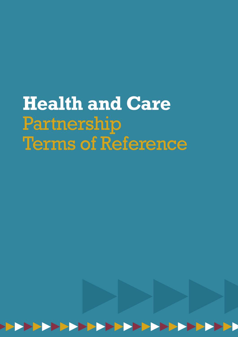# **Health and Care** Partnership Terms of Reference

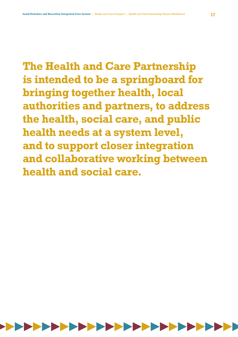**The Health and Care Partnership is intended to be a springboard for bringing together health, local authorities and partners, to address the health, social care, and public health needs at a system level, and to support closer integration and collaborative working between health and social care.**

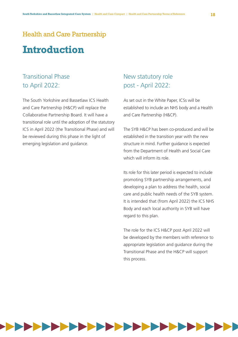### Health and Care Partnership

## **Introduction**

### Transitional Phase to April 2022:

The South Yorkshire and Bassetlaw ICS Health and Care Partnership (H&CP) will replace the Collaborative Partnership Board. It will have a transitional role until the adoption of the statutory ICS in April 2022 (the Transitional Phase) and will be reviewed during this phase in the light of emerging legislation and guidance.

#### New statutory role post - April 2022:

As set out in the White Paper, ICSs will be established to include an NHS body and a Health and Care Partnership (H&CP).

The SYB H&CP has been co-produced and will be established in the transition year with the new structure in mind. Further guidance is expected from the Department of Health and Social Care which will inform its role.

Its role for this later period is expected to include promoting SYB partnership arrangements, and developing a plan to address the health, social care and public health needs of the SYB system. It is intended that (from April 2022) the ICS NHS Body and each local authority in SYB will have regard to this plan.

The role for the ICS H&CP post April 2022 will be developed by the members with reference to appropriate legislation and guidance during the Transitional Phase and the H&CP will support this process.



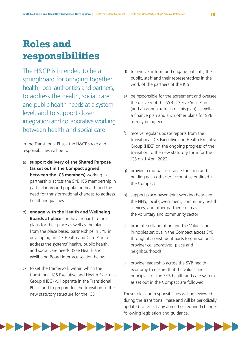# **Roles and responsibilities**

The H&CP is intended to be a springboard for bringing together health, local authorities and partners, to address the health, social care, and public health needs at a system level, and to support closer integration and collaborative working between health and social care.

In the Transitional Phase the H&CP's role and responsibilities will be to:

- a) **support delivery of the Shared Purpose (as set out in the Compact agreed between the ICS members)** working in partnership across the SYB ICS membership in particular around population health and the need for transformational changes to address health inequalities
- b) **engage with the Health and Wellbeing Boards at place** and have regard to their plans for their place as well as the plans from the place based partnerships in SYB in developing an ICS Health and Care Plan to address the systems' health, public health, and social care needs. (See Health and Wellbeing Board Interface section below)
- c) to set the framework within which the transitional ICS Executive and Health Executive Group (HEG) will operate in the Transitional Phase and to prepare for the transition to the new statutory structure for the ICS
- d) to involve, inform and engage patients, the public, staff and their representatives in the work of the partners of the ICS
- e) be responsible for the agreement and oversee the delivery of the SYB ICS Five Year Plan (and an annual refresh of this plan) as well as a finance plan and such other plans for SYB as may be agreed
- f) receive regular update reports from the transitional ICS Executive and Health Executive Group (HEG) on the ongoing progress of the transition to the new statutory form for the ICS on 1 April 2022
- g) provide a mutual assurance function and holding each other to account as outlined in the Compact
- h) support place-based joint working between the NHS, local government, community health services, and other partners such as the voluntary and community sector
- i) promote collaboration and the Values and Principles set out in the Compact across SYB through its constituent parts (organisational, provider collaboratives, place and neighbourhood)
- j) provide leadership across the SYB health economy to ensure that the values and principles for the SYB health and care system as set out in the Compact are followed

These roles and responsibilities will be reviewed during the Transitional Phase and will be periodically updated to reflect any agreed or required changes following legislation and guidance.

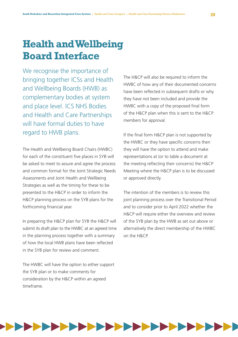# **Health and Wellbeing Board Interface**

We recognise the importance of bringing together ICSs and Health and Wellbeing Boards (HWB) as complementary bodies at system and place level. ICS NHS Bodies and Health and Care Partnerships will have formal duties to have regard to HWB plans.

The Health and Wellbeing Board Chairs (HWBC) for each of the constituent five places in SYB will be asked to meet to assure and agree the process and common format for the Joint Strategic Needs Assessments and Joint Health and Wellbeing Strategies as well as the timing for these to be presented to the H&CP in order to inform the H&CP planning process on the SYB plans for the forthcoming financial year.

In preparing the H&CP plan for SYB the H&CP will submit its draft plan to the HWBC at an agreed time in the planning process together with a summary of how the local HWB plans have been reflected in the SYB plan for review and comment.

The HWBC will have the option to either support the SYB plan or to make comments for consideration by the H&CP within an agreed timeframe.

The H&CP will also be required to inform the HWBC of how any of their documented concerns have been reflected in subsequent drafts or why they have not been included and provide the HWBC with a copy of the proposed final form of the H&CP plan when this is sent to the H&CP members for approval.

If the final form H&CP plan is not supported by the HWBC or they have specific concerns then they will have the option to attend and make representations at (or to table a document at the meeting reflecting their concerns) the H&CP Meeting where the H&CP plan is to be discussed or approved directly.

The intention of the members is to review this joint planning process over the Transitional Period and to consider prior to April 2022 whether the H&CP will require either the overview and review of the SYB plan by the HWB as set out above or alternatively the direct membership of the HWBC on the H&CP.

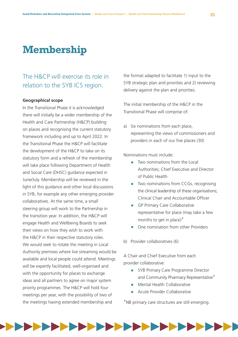# **Membership**

### The H&CP will exercise its role in relation to the SYB ICS region.

#### **Geographical scope**

In the Transitional Phase it is acknowledged there will initially be a wider membership of the Health and Care Partnership (H&CP) building on places and recognising the current statutory framework including and up to April 2022. In the Transitional Phase the H&CP will facilitate the development of the H&CP to take on its statutory form and a refresh of the membership will take place following Department of Health and Social Care (DHSC) guidance expected in June/July. Membership will be reviewed in the light of this guidance and other local discussions in SYB, for example any other emerging provider collaboratives. At the same time, a small steering group will work to the Partnership in the transition year. In addition, the H&CP will engage Health and Wellbeing Boards to seek their views on how they wish to work with the H&CP in their respective statutory roles. We would seek to rotate the meeting in Local Authority premises where live streaming would be available and local people could attend. Meetings will be expertly facilitated, well-organised and with the opportunity for places to exchange ideas and all partners to agree on major system priority programmes. The H&CP will hold four meetings per year, with the possibility of two of the meetings having extended membership and

the format adapted to facilitate 1) input to the SYB strategic plan and priorities and 2) reviewing delivery against the plan and priorities.

The initial membership of the H&CP in the Transitional Phase will comprise of:

a) Six nominations from each place, representing the views of commissioners and providers in each of our five places (30)

Nominations must include:

- Two nominations from the Local Authorities; Chief Executive and Director of Public Health
- Two nominations from CCGs, recognising the clinical leadership of these organisations; Clinical Chair and Accountable Officer
- GP Primary Care Collaborative representative for place (may take a few months to get in place)\*
- One nomination from other Providers
- b) Provider collaboratives (6)

A Chair and Chief Executive from each provider collaborative:

- SYB Primary Care Programme Director and Community Pharmacy Representative\*
- Mental Health Collaborative
- Acute Provider Collaborative

\*NB primary care structures are still emerging.

![](_page_20_Figure_20.jpeg)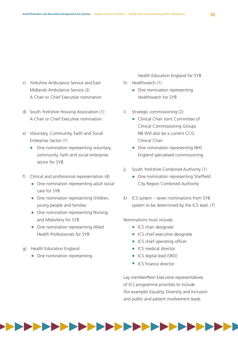- c) Yorkshire Ambulance Service and East Midlands Ambulance Service (2) A Chair or Chief Executive nomination
- d) South Yorkshire Housing Association (1) A Chair or Chief Executive nomination
- e) Voluntary, Community, Faith and Social Enterprise Sector (1)
	- One nomination representing voluntary, community, faith and social enterprise sector for SYB
- f) Clinical and professional representation (4)
	- One nomination representing adult social care for SYB
	- One nomination representing children, young people and families
	- One nomination representing Nursing and Midwifery for SYB
	- One nomination representing Allied Health Professionals for SYB
- g) Health Education England
	- One nomination representing

Health Education England for SYB

- h) Healthwatch (1)
	- One nomination representing Healthwatch for SYB
- i) Strategic commissioning (2)
	- Clinical Chair Joint Committee of Clinical Commissioning Groups NB Will also be a current CCG Clinical Chair
	- One nomination representing NHS England specialised commissioning
- j) South Yorkshire Combined Authority (1)
	- One nomination representing Sheffield City Region Combined Authority
- k) ICS system seven nominations from SYB system to be determined by the ICS lead. (7)

Nominations must include:

- ICS chair designate
- ICS chief executive designate
- ICS chief operating officer
- ICS medical director
- ICS digital lead (SRO)
- ICS finance director

Lay member/Non Executive representatives of ICS programme priorities to include (for example) Equality, Diversity and Inclusion and public and patient involvement leads.

![](_page_21_Figure_30.jpeg)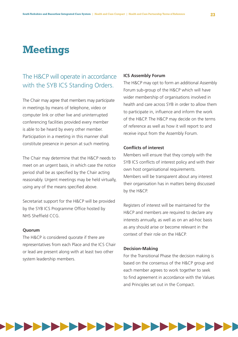# **Meetings**

### The H&CP will operate in accordance with the SYB ICS Standing Orders.

The Chair may agree that members may participate in meetings by means of telephone, video or computer link or other live and uninterrupted conferencing facilities provided every member is able to be heard by every other member. Participation in a meeting in this manner shall constitute presence in person at such meeting.

The Chair may determine that the H&CP needs to meet on an urgent basis, in which case the notice period shall be as specified by the Chair acting reasonably. Urgent meetings may be held virtually, using any of the means specified above.

Secretariat support for the H&CP will be provided by the SYB ICS Programme Office hosted by NHS Sheffield CCG.

#### **Quorum**

The H&CP is considered quorate if there are representatives from each Place and the ICS Chair or lead are present along with at least two other system leadership members.

#### **ICS Assembly Forum**

The H&CP may opt to form an additional Assembly Forum sub-group of the H&CP which will have wider membership of organisations involved in health and care across SYB in order to allow them to participate in, influence and inform the work of the H&CP. The H&CP may decide on the terms of reference as well as how it will report to and receive input from the Assembly Forum.

#### **Conflicts of interest**

Members will ensure that they comply with the SYB ICS conflicts of interest policy and with their own host organisational requirements. Members will be transparent about any interest their organisation has in matters being discussed by the H&CP.

Registers of interest will be maintained for the H&CP and members are required to declare any interests annually, as well as on an ad-hoc basis as any should arise or become relevant in the context of their role on the H&CP.

#### **Decision-Making**

For the Transitional Phase the decision making is based on the consensus of the H&CP group and each member agrees to work together to seek to find agreement in accordance with the Values and Principles set out in the Compact.

![](_page_22_Figure_15.jpeg)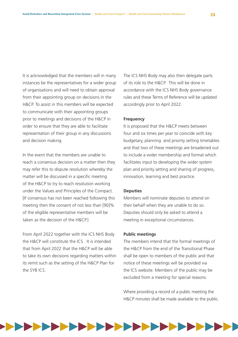It is acknowledged that the members will in many instances be the representatives for a wider group of organisations and will need to obtain approval from their appointing group on decisions in the H&CP. To assist in this members will be expected to communicate with their appointing groups prior to meetings and decisions of the H&CP in order to ensure that they are able to facilitate representation of their group in any discussions and decision making.

In the event that the members are unable to reach a consensus decision on a matter then they may refer this to dispute resolution whereby the matter will be discussed in a specific meeting of the H&CP to try to reach resolution working under the Values and Principles of the Compact. If consensus has not been reached following this meeting then the consent of not less than [90]% of the eligible representative members will be taken as the decision of the H&CP.]

From April 2022 together with the ICS NHS Body the H&CP will constitute the ICS. It is intended that from April 2022 that the H&CP will be able to take its own decisions regarding matters within its remit such as the setting of the H&CP Plan for the SYB ICS.

The ICS NHS Body may also then delegate parts of its role to the H&CP. This will be done in accordance with the ICS NHS Body governance rules and these Terms of Reference will be updated accordingly prior to April 2022.

#### **Frequency**

It is proposed that the H&CP meets between four and six times per year to coincide with key budgetary, planning and priority setting timetables and that two of these meetings are broadened out to include a wider membership and format which facilitates input to developing the wider system plan and priority setting and sharing of progress, innovation, learning and best practice.

#### **Deputies**

Members will nominate deputies to attend on their behalf when they are unable to do so. Deputies should only be asked to attend a meeting in exceptional circumstances.

#### **Public meetings**

The members intend that the formal meetings of the H&CP from the end of the Transitional Phase shall be open to members of the public and that notice of these meetings will be provided via the ICS website. Members of the public may be excluded from a meeting for special reasons.

Where providing a record of a public meeting the H&CP minutes shall be made available to the public.

![](_page_23_Figure_13.jpeg)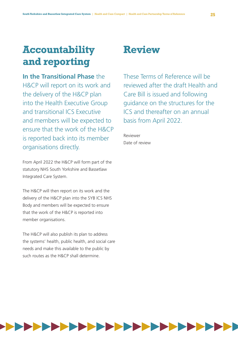# **Accountability and reporting**

**In the Transitional Phase** the H&CP will report on its work and the delivery of the H&CP plan into the Health Executive Group and transitional ICS Executive and members will be expected to ensure that the work of the H&CP is reported back into its member organisations directly.

From April 2022 the H&CP will form part of the statutory NHS South Yorkshire and Bassetlaw Integrated Care System.

The H&CP will then report on its work and the delivery of the H&CP plan into the SYB ICS NHS Body and members will be expected to ensure that the work of the H&CP is reported into member organisations.

The H&CP will also publish its plan to address the systems' health, public health, and social care needs and make this available to the public by such routes as the H&CP shall determine.

### **Review**

These Terms of Reference will be reviewed after the draft Health and Care Bill is issued and following guidance on the structures for the ICS and thereafter on an annual basis from April 2022.

Reviewer Date of review

![](_page_24_Figure_10.jpeg)